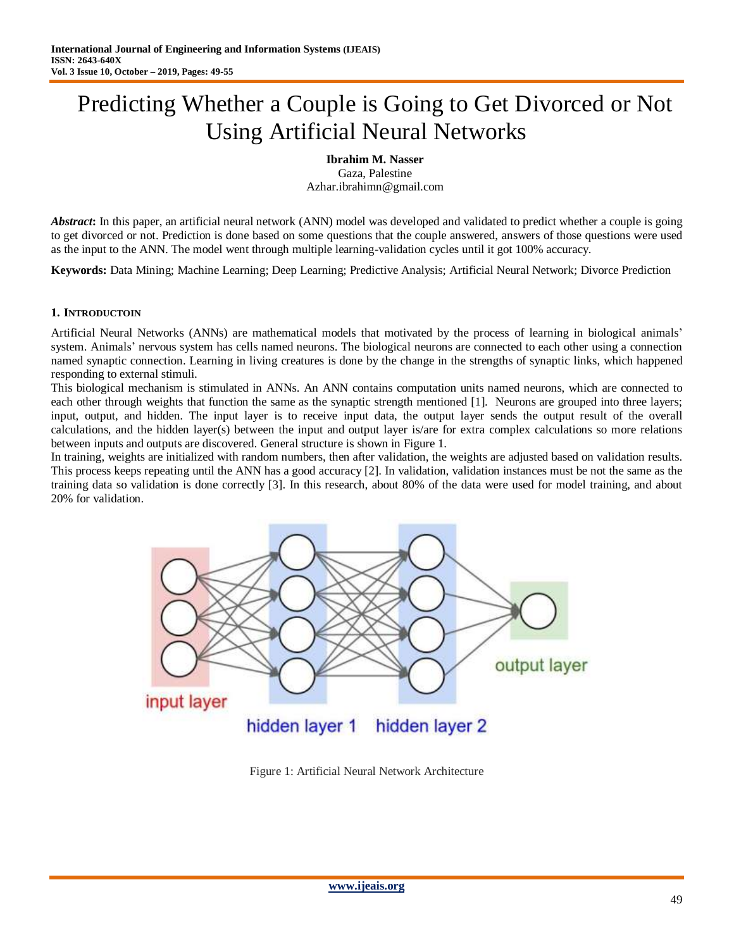# Predicting Whether a Couple is Going to Get Divorced or Not Using Artificial Neural Networks

**Ibrahim M. Nasser** Gaza, Palestine Azhar.ibrahimn@gmail.com

*Abstract*: In this paper, an artificial neural network (ANN) model was developed and validated to predict whether a couple is going to get divorced or not. Prediction is done based on some questions that the couple answered, answers of those questions were used as the input to the ANN. The model went through multiple learning-validation cycles until it got 100% accuracy.

**Keywords:** Data Mining; Machine Learning; Deep Learning; Predictive Analysis; Artificial Neural Network; Divorce Prediction

### **1. INTRODUCTOIN**

Artificial Neural Networks (ANNs) are mathematical models that motivated by the process of learning in biological animals" system. Animals' nervous system has cells named neurons. The biological neurons are connected to each other using a connection named synaptic connection. Learning in living creatures is done by the change in the strengths of synaptic links, which happened responding to external stimuli.

This biological mechanism is stimulated in ANNs. An ANN contains computation units named neurons, which are connected to each other through weights that function the same as the synaptic strength mentioned [1]. Neurons are grouped into three layers; input, output, and hidden. The input layer is to receive input data, the output layer sends the output result of the overall calculations, and the hidden layer(s) between the input and output layer is/are for extra complex calculations so more relations between inputs and outputs are discovered. General structure is shown in Figure 1.

In training, weights are initialized with random numbers, then after validation, the weights are adjusted based on validation results. This process keeps repeating until the ANN has a good accuracy [2]. In validation, validation instances must be not the same as the training data so validation is done correctly [3]. In this research, about 80% of the data were used for model training, and about 20% for validation.



Figure 1: Artificial Neural Network Architecture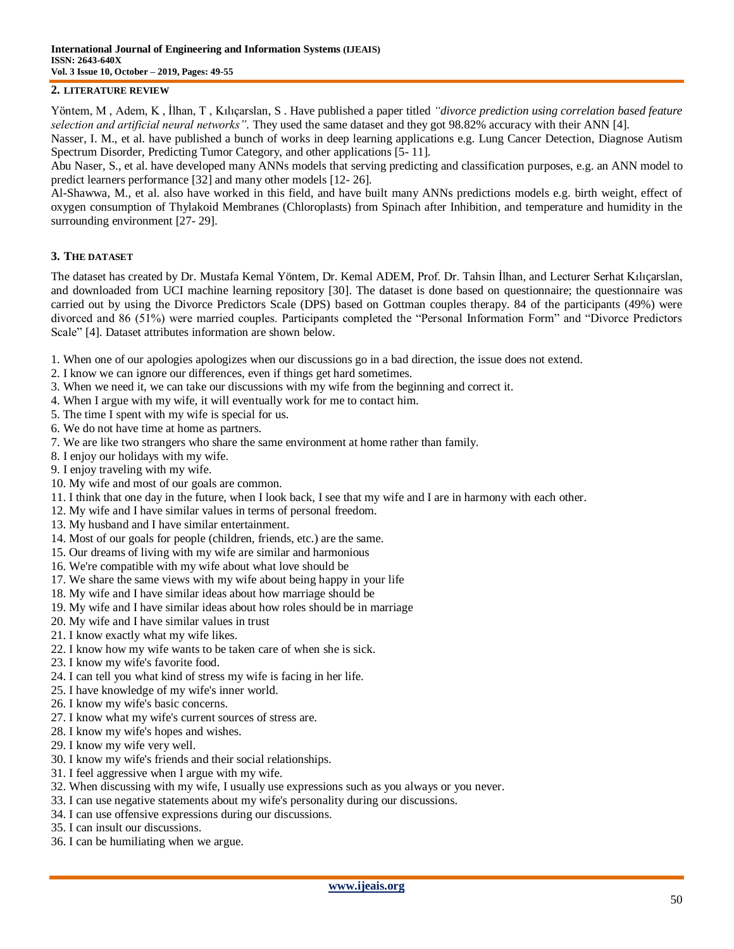#### **2. LITERATURE REVIEW**

Yöntem, M , Adem, K , İlhan, T , Kılıçarslan, S . Have published a paper titled *"divorce prediction using correlation based feature selection and artificial neural networks".* They used the same dataset and they got 98.82% accuracy with their ANN [4].

Nasser, I. M., et al. have published a bunch of works in deep learning applications e.g. Lung Cancer Detection, Diagnose Autism Spectrum Disorder, Predicting Tumor Category, and other applications [5- 11].

Abu Naser, S., et al. have developed many ANNs models that serving predicting and classification purposes, e.g. an ANN model to predict learners performance [32] and many other models [12- 26].

Al-Shawwa, M., et al. also have worked in this field, and have built many ANNs predictions models e.g. birth weight, effect of oxygen consumption of Thylakoid Membranes (Chloroplasts) from Spinach after Inhibition, and temperature and humidity in the surrounding environment [27- 29].

#### **3. THE DATASET**

The dataset has created by Dr. Mustafa Kemal Yöntem, Dr. Kemal ADEM, Prof. Dr. Tahsin İlhan, and Lecturer Serhat Kılıçarslan, and downloaded from UCI machine learning repository [30]. The dataset is done based on questionnaire; the questionnaire was carried out by using the Divorce Predictors Scale (DPS) based on Gottman couples therapy. 84 of the participants (49%) were divorced and 86 (51%) were married couples. Participants completed the "Personal Information Form" and "Divorce Predictors Scale" [4]. Dataset attributes information are shown below.

1. When one of our apologies apologizes when our discussions go in a bad direction, the issue does not extend.

- 2. I know we can ignore our differences, even if things get hard sometimes.
- 3. When we need it, we can take our discussions with my wife from the beginning and correct it.
- 4. When I argue with my wife, it will eventually work for me to contact him.
- 5. The time I spent with my wife is special for us.
- 6. We do not have time at home as partners.
- 7. We are like two strangers who share the same environment at home rather than family.
- 8. I enjoy our holidays with my wife.
- 9. I enjoy traveling with my wife.
- 10. My wife and most of our goals are common.
- 11. I think that one day in the future, when I look back, I see that my wife and I are in harmony with each other.
- 12. My wife and I have similar values in terms of personal freedom.
- 13. My husband and I have similar entertainment.
- 14. Most of our goals for people (children, friends, etc.) are the same.
- 15. Our dreams of living with my wife are similar and harmonious
- 16. We're compatible with my wife about what love should be
- 17. We share the same views with my wife about being happy in your life
- 18. My wife and I have similar ideas about how marriage should be
- 19. My wife and I have similar ideas about how roles should be in marriage
- 20. My wife and I have similar values in trust
- 21. I know exactly what my wife likes.
- 22. I know how my wife wants to be taken care of when she is sick.
- 23. I know my wife's favorite food.
- 24. I can tell you what kind of stress my wife is facing in her life.
- 25. I have knowledge of my wife's inner world.
- 26. I know my wife's basic concerns.
- 27. I know what my wife's current sources of stress are.
- 28. I know my wife's hopes and wishes.
- 29. I know my wife very well.
- 30. I know my wife's friends and their social relationships.
- 31. I feel aggressive when I argue with my wife.
- 32. When discussing with my wife, I usually use expressions such as you always or you never.
- 33. I can use negative statements about my wife's personality during our discussions.
- 34. I can use offensive expressions during our discussions.
- 35. I can insult our discussions.
- 36. I can be humiliating when we argue.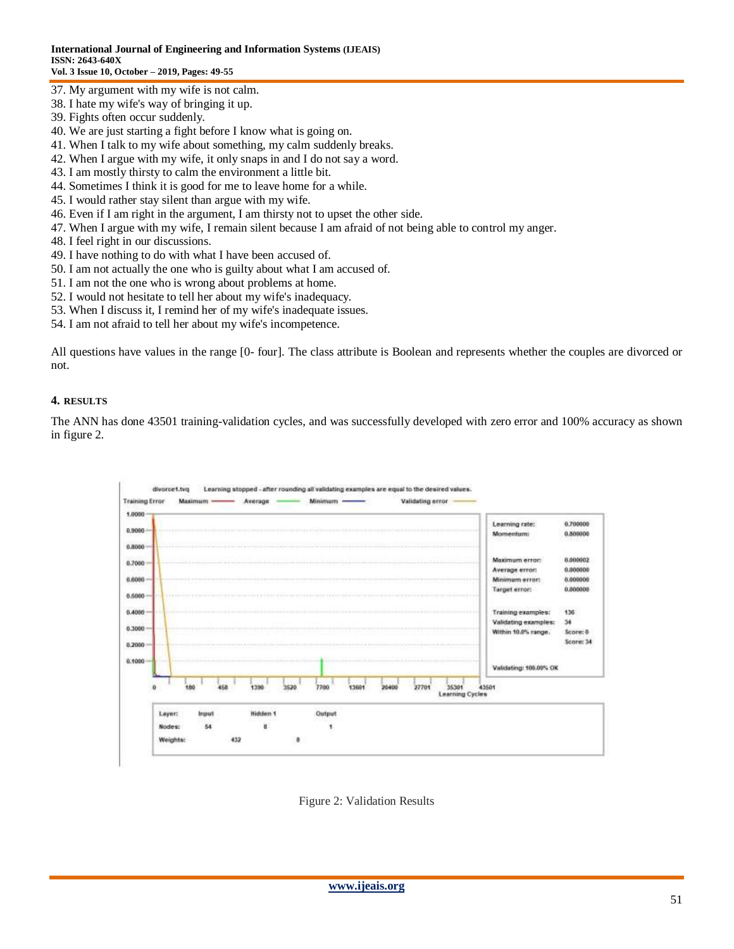- 37. My argument with my wife is not calm.
- 38. I hate my wife's way of bringing it up.
- 39. Fights often occur suddenly.
- 40. We are just starting a fight before I know what is going on.
- 41. When I talk to my wife about something, my calm suddenly breaks.
- 42. When I argue with my wife, it only snaps in and I do not say a word.
- 43. I am mostly thirsty to calm the environment a little bit.
- 44. Sometimes I think it is good for me to leave home for a while.
- 45. I would rather stay silent than argue with my wife.
- 46. Even if I am right in the argument, I am thirsty not to upset the other side.
- 47. When I argue with my wife, I remain silent because I am afraid of not being able to control my anger.
- 48. I feel right in our discussions.
- 49. I have nothing to do with what I have been accused of.
- 50. I am not actually the one who is guilty about what I am accused of.
- 51. I am not the one who is wrong about problems at home.
- 52. I would not hesitate to tell her about my wife's inadequacy.
- 53. When I discuss it, I remind her of my wife's inadequate issues.
- 54. I am not afraid to tell her about my wife's incompetence.

All questions have values in the range [0- four]. The class attribute is Boolean and represents whether the couples are divorced or not.

#### **4. RESULTS**

The ANN has done 43501 training-validation cycles, and was successfully developed with zero error and 100% accuracy as shown in figure 2.



Figure 2: Validation Results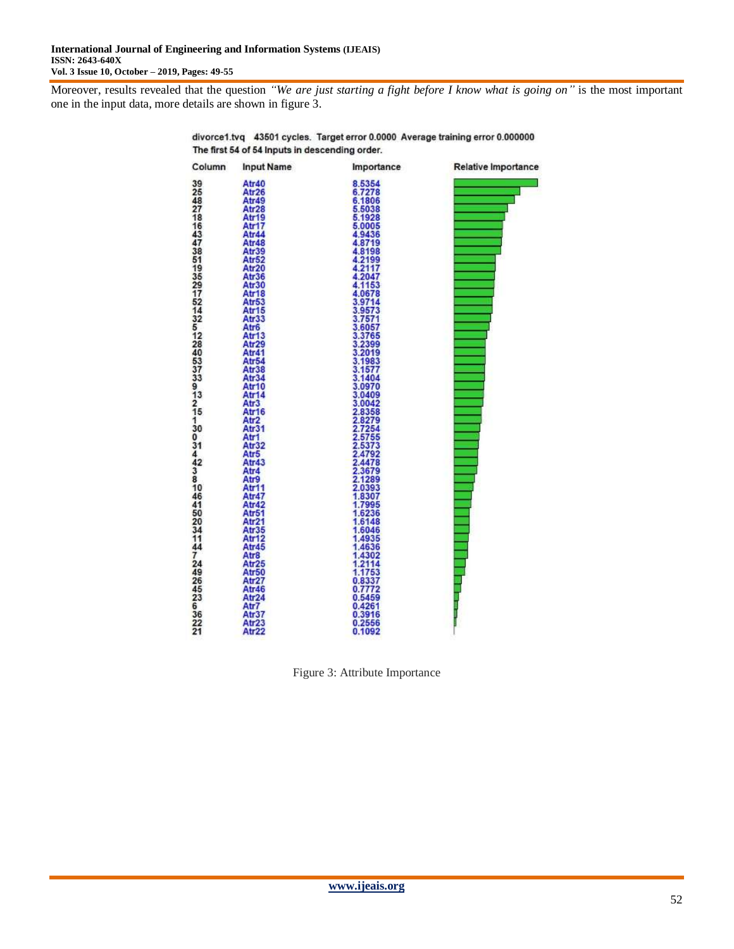Moreover, results revealed that the question *"We are just starting a fight before I know what is going on"* is the most important one in the input data, more details are shown in figure 3.



divorce1.tvq 43501 cycles. Target error 0.0000 Average training error 0.000000 The first 54 of 54 Inputs in descending order.

Figure 3: Attribute Importance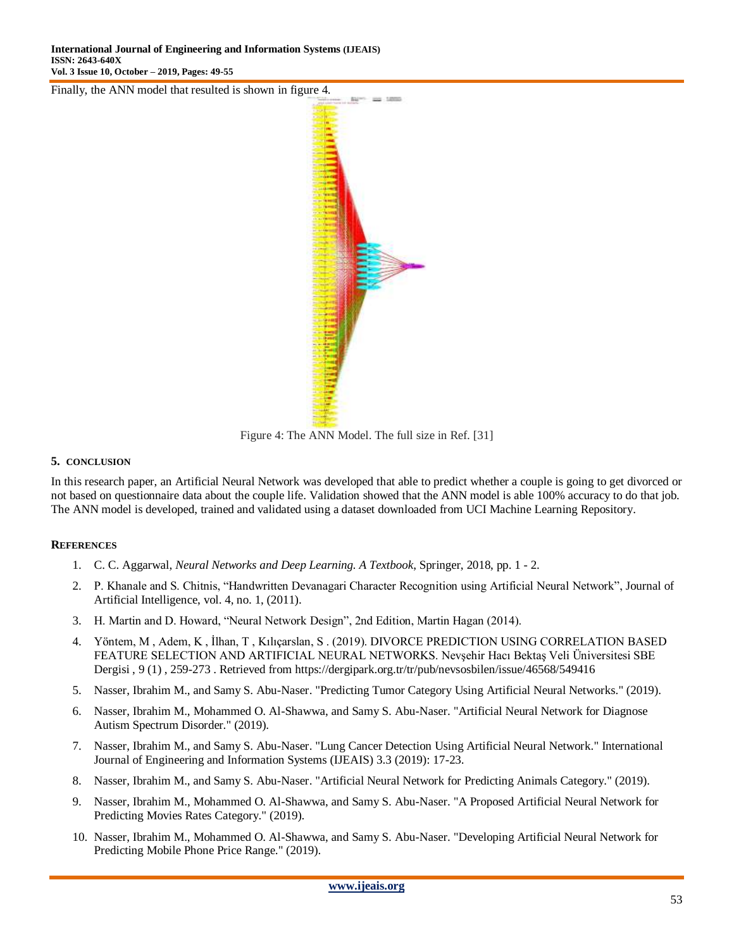Finally, the ANN model that resulted is shown in figure 4.



Figure 4: The ANN Model. The full size in Ref. [31]

#### **5. CONCLUSION**

In this research paper, an Artificial Neural Network was developed that able to predict whether a couple is going to get divorced or not based on questionnaire data about the couple life. Validation showed that the ANN model is able 100% accuracy to do that job. The ANN model is developed, trained and validated using a dataset downloaded from UCI Machine Learning Repository.

#### **REFERENCES**

- 1. C. C. Aggarwal, *Neural Networks and Deep Learning. A Textbook*, Springer, 2018, pp. 1 2.
- 2. P. Khanale and S. Chitnis, "Handwritten Devanagari Character Recognition using Artificial Neural Network", Journal of Artificial Intelligence, vol. 4, no. 1, (2011).
- 3. H. Martin and D. Howard, "Neural Network Design", 2nd Edition, Martin Hagan (2014).
- 4. Yöntem, M , Adem, K , İlhan, T , Kılıçarslan, S . (2019). DIVORCE PREDICTION USING CORRELATION BASED FEATURE SELECTION AND ARTIFICIAL NEURAL NETWORKS. Nevşehir Hacı Bektaş Veli Üniversitesi SBE Dergisi , 9 (1) , 259-273 . Retrieved from https://dergipark.org.tr/tr/pub/nevsosbilen/issue/46568/549416
- 5. Nasser, Ibrahim M., and Samy S. Abu-Naser. "Predicting Tumor Category Using Artificial Neural Networks." (2019).
- 6. Nasser, Ibrahim M., Mohammed O. Al-Shawwa, and Samy S. Abu-Naser. "Artificial Neural Network for Diagnose Autism Spectrum Disorder." (2019).
- 7. Nasser, Ibrahim M., and Samy S. Abu-Naser. "Lung Cancer Detection Using Artificial Neural Network." International Journal of Engineering and Information Systems (IJEAIS) 3.3 (2019): 17-23.
- 8. Nasser, Ibrahim M., and Samy S. Abu-Naser. "Artificial Neural Network for Predicting Animals Category." (2019).
- 9. Nasser, Ibrahim M., Mohammed O. Al-Shawwa, and Samy S. Abu-Naser. "A Proposed Artificial Neural Network for Predicting Movies Rates Category." (2019).
- 10. Nasser, Ibrahim M., Mohammed O. Al-Shawwa, and Samy S. Abu-Naser. "Developing Artificial Neural Network for Predicting Mobile Phone Price Range." (2019).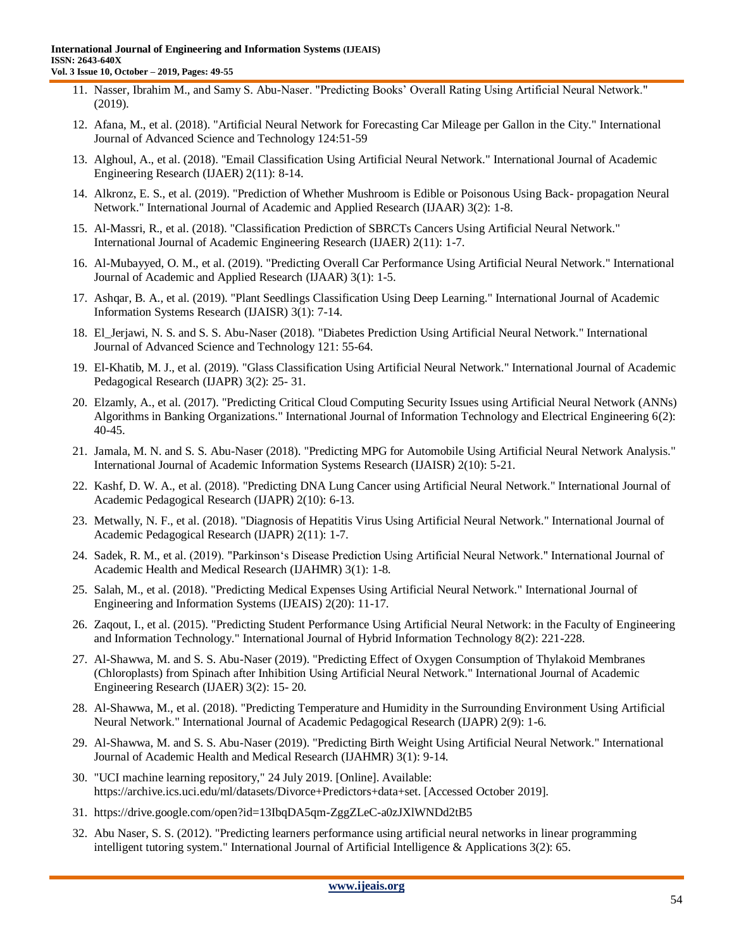- 11. Nasser, Ibrahim M., and Samy S. Abu-Naser. "Predicting Books" Overall Rating Using Artificial Neural Network." (2019).
- 12. Afana, M., et al. (2018). "Artificial Neural Network for Forecasting Car Mileage per Gallon in the City." International Journal of Advanced Science and Technology 124:51-59
- 13. Alghoul, A., et al. (2018). "Email Classification Using Artificial Neural Network." International Journal of Academic Engineering Research (IJAER) 2(11): 8-14.
- 14. Alkronz, E. S., et al. (2019). "Prediction of Whether Mushroom is Edible or Poisonous Using Back- propagation Neural Network." International Journal of Academic and Applied Research (IJAAR) 3(2): 1-8.
- 15. Al-Massri, R., et al. (2018). "Classification Prediction of SBRCTs Cancers Using Artificial Neural Network." International Journal of Academic Engineering Research (IJAER) 2(11): 1-7.
- 16. Al-Mubayyed, O. M., et al. (2019). "Predicting Overall Car Performance Using Artificial Neural Network." International Journal of Academic and Applied Research (IJAAR) 3(1): 1-5.
- 17. Ashqar, B. A., et al. (2019). "Plant Seedlings Classification Using Deep Learning." International Journal of Academic Information Systems Research (IJAISR) 3(1): 7-14.
- 18. El\_Jerjawi, N. S. and S. S. Abu-Naser (2018). "Diabetes Prediction Using Artificial Neural Network." International Journal of Advanced Science and Technology 121: 55-64.
- 19. El-Khatib, M. J., et al. (2019). "Glass Classification Using Artificial Neural Network." International Journal of Academic Pedagogical Research (IJAPR) 3(2): 25- 31.
- 20. Elzamly, A., et al. (2017). "Predicting Critical Cloud Computing Security Issues using Artificial Neural Network (ANNs) Algorithms in Banking Organizations." International Journal of Information Technology and Electrical Engineering 6(2): 40-45.
- 21. Jamala, M. N. and S. S. Abu-Naser (2018). "Predicting MPG for Automobile Using Artificial Neural Network Analysis." International Journal of Academic Information Systems Research (IJAISR) 2(10): 5-21.
- 22. Kashf, D. W. A., et al. (2018). "Predicting DNA Lung Cancer using Artificial Neural Network." International Journal of Academic Pedagogical Research (IJAPR) 2(10): 6-13.
- 23. Metwally, N. F., et al. (2018). "Diagnosis of Hepatitis Virus Using Artificial Neural Network." International Journal of Academic Pedagogical Research (IJAPR) 2(11): 1-7.
- 24. Sadek, R. M., et al. (2019). "Parkinson"s Disease Prediction Using Artificial Neural Network." International Journal of Academic Health and Medical Research (IJAHMR) 3(1): 1-8.
- 25. Salah, M., et al. (2018). "Predicting Medical Expenses Using Artificial Neural Network." International Journal of Engineering and Information Systems (IJEAIS) 2(20): 11-17.
- 26. Zaqout, I., et al. (2015). "Predicting Student Performance Using Artificial Neural Network: in the Faculty of Engineering and Information Technology." International Journal of Hybrid Information Technology 8(2): 221-228.
- 27. Al-Shawwa, M. and S. S. Abu-Naser (2019). "Predicting Effect of Oxygen Consumption of Thylakoid Membranes (Chloroplasts) from Spinach after Inhibition Using Artificial Neural Network." International Journal of Academic Engineering Research (IJAER) 3(2): 15- 20.
- 28. Al-Shawwa, M., et al. (2018). "Predicting Temperature and Humidity in the Surrounding Environment Using Artificial Neural Network." International Journal of Academic Pedagogical Research (IJAPR) 2(9): 1-6.
- 29. Al-Shawwa, M. and S. S. Abu-Naser (2019). "Predicting Birth Weight Using Artificial Neural Network." International Journal of Academic Health and Medical Research (IJAHMR) 3(1): 9-14.
- 30. "UCI machine learning repository," 24 July 2019. [Online]. Available: https://archive.ics.uci.edu/ml/datasets/Divorce+Predictors+data+set. [Accessed October 2019].
- 31. <https://drive.google.com/open?id=13IbqDA5qm-ZggZLeC-a0zJXlWNDd2tB5>
- 32. Abu Naser, S. S. (2012). "Predicting learners performance using artificial neural networks in linear programming intelligent tutoring system." International Journal of Artificial Intelligence & Applications 3(2): 65.